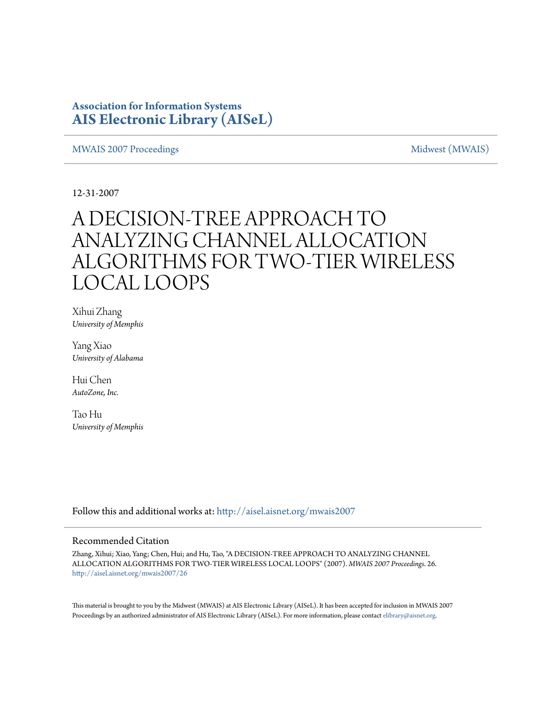### **Association for Information Systems [AIS Electronic Library \(AISeL\)](http://aisel.aisnet.org?utm_source=aisel.aisnet.org%2Fmwais2007%2F26&utm_medium=PDF&utm_campaign=PDFCoverPages)**

[MWAIS 2007 Proceedings](http://aisel.aisnet.org/mwais2007?utm_source=aisel.aisnet.org%2Fmwais2007%2F26&utm_medium=PDF&utm_campaign=PDFCoverPages) and the matrix of the [Midwest \(MWAIS\)](http://aisel.aisnet.org/mwais?utm_source=aisel.aisnet.org%2Fmwais2007%2F26&utm_medium=PDF&utm_campaign=PDFCoverPages)

12-31-2007

# A DECISION-TREE APPROACH TO ANALYZING CHANNEL ALLOCATION ALGORITHMS FOR TWO-TIER WIRELESS LOCAL LOOPS

Xihui Zhang *University of Memphis*

Yang Xiao *University of Alabama*

Hui Chen *AutoZone, Inc.*

Tao Hu *University of Memphis*

Follow this and additional works at: [http://aisel.aisnet.org/mwais2007](http://aisel.aisnet.org/mwais2007?utm_source=aisel.aisnet.org%2Fmwais2007%2F26&utm_medium=PDF&utm_campaign=PDFCoverPages)

#### Recommended Citation

Zhang, Xihui; Xiao, Yang; Chen, Hui; and Hu, Tao, "A DECISION-TREE APPROACH TO ANALYZING CHANNEL ALLOCATION ALGORITHMS FOR TWO-TIER WIRELESS LOCAL LOOPS" (2007). *MWAIS 2007 Proceedings*. 26. [http://aisel.aisnet.org/mwais2007/26](http://aisel.aisnet.org/mwais2007/26?utm_source=aisel.aisnet.org%2Fmwais2007%2F26&utm_medium=PDF&utm_campaign=PDFCoverPages)

This material is brought to you by the Midwest (MWAIS) at AIS Electronic Library (AISeL). It has been accepted for inclusion in MWAIS 2007 Proceedings by an authorized administrator of AIS Electronic Library (AISeL). For more information, please contact [elibrary@aisnet.org](mailto:elibrary@aisnet.org%3E).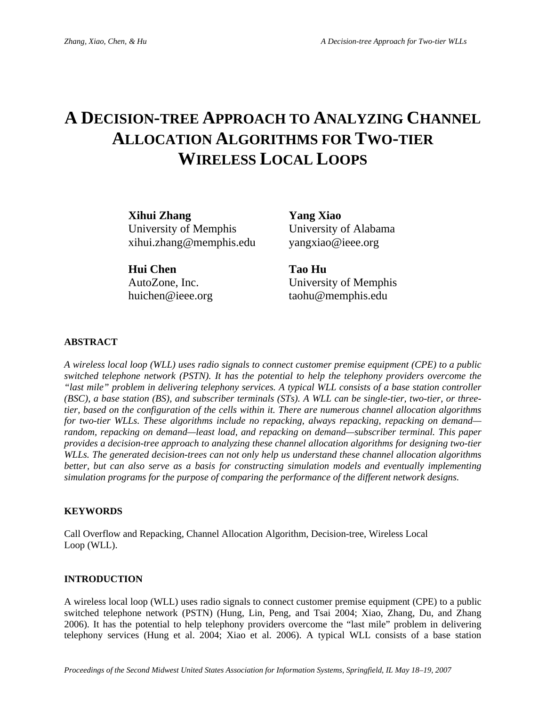## **A DECISION-TREE APPROACH TO ANALYZING CHANNEL ALLOCATION ALGORITHMS FOR TWO-TIER WIRELESS LOCAL LOOPS**

**Xihui Zhang Yang Xiao**  University of Memphis University of Alabama xihui.zhang@memphis.edu yangxiao@ieee.org

**Hui Chen Tao Hu** 

AutoZone, Inc. University of Memphis huichen@ieee.org taohu@memphis.edu

#### **ABSTRACT**

*A wireless local loop (WLL) uses radio signals to connect customer premise equipment (CPE) to a public switched telephone network (PSTN). It has the potential to help the telephony providers overcome the "last mile" problem in delivering telephony services. A typical WLL consists of a base station controller (BSC), a base station (BS), and subscriber terminals (STs). A WLL can be single-tier, two-tier, or threetier, based on the configuration of the cells within it. There are numerous channel allocation algorithms for two-tier WLLs. These algorithms include no repacking, always repacking, repacking on demand random, repacking on demand—least load, and repacking on demand—subscriber terminal. This paper provides a decision-tree approach to analyzing these channel allocation algorithms for designing two-tier WLLs. The generated decision-trees can not only help us understand these channel allocation algorithms better, but can also serve as a basis for constructing simulation models and eventually implementing simulation programs for the purpose of comparing the performance of the different network designs.* 

#### **KEYWORDS**

Call Overflow and Repacking, Channel Allocation Algorithm, Decision-tree, Wireless Local Loop (WLL).

#### **INTRODUCTION**

A wireless local loop (WLL) uses radio signals to connect customer premise equipment (CPE) to a public switched telephone network (PSTN) (Hung, Lin, Peng, and Tsai 2004; Xiao, Zhang, Du, and Zhang 2006). It has the potential to help telephony providers overcome the "last mile" problem in delivering telephony services (Hung et al. 2004; Xiao et al. 2006). A typical WLL consists of a base station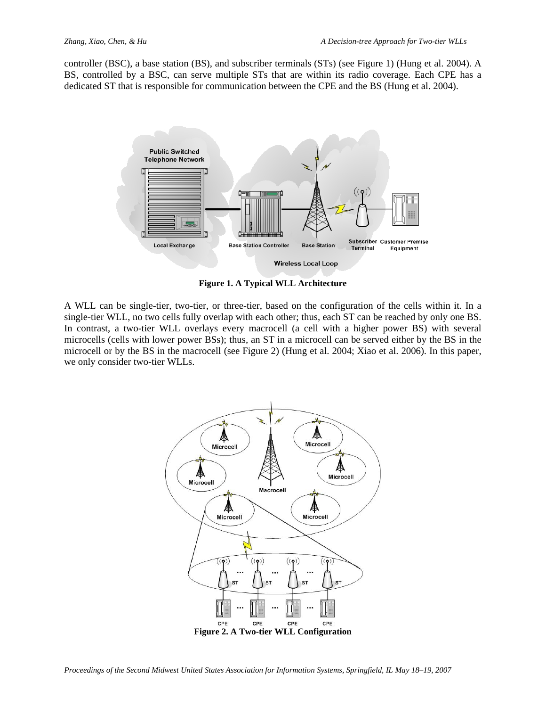controller (BSC), a base station (BS), and subscriber terminals (STs) (see Figure 1) (Hung et al. 2004). A BS, controlled by a BSC, can serve multiple STs that are within its radio coverage. Each CPE has a dedicated ST that is responsible for communication between the CPE and the BS (Hung et al. 2004).



**Figure 1. A Typical WLL Architecture** 

A WLL can be single-tier, two-tier, or three-tier, based on the configuration of the cells within it. In a single-tier WLL, no two cells fully overlap with each other; thus, each ST can be reached by only one BS. In contrast, a two-tier WLL overlays every macrocell (a cell with a higher power BS) with several microcells (cells with lower power BSs); thus, an ST in a microcell can be served either by the BS in the microcell or by the BS in the macrocell (see Figure 2) (Hung et al. 2004; Xiao et al. 2006). In this paper, we only consider two-tier WLLs.

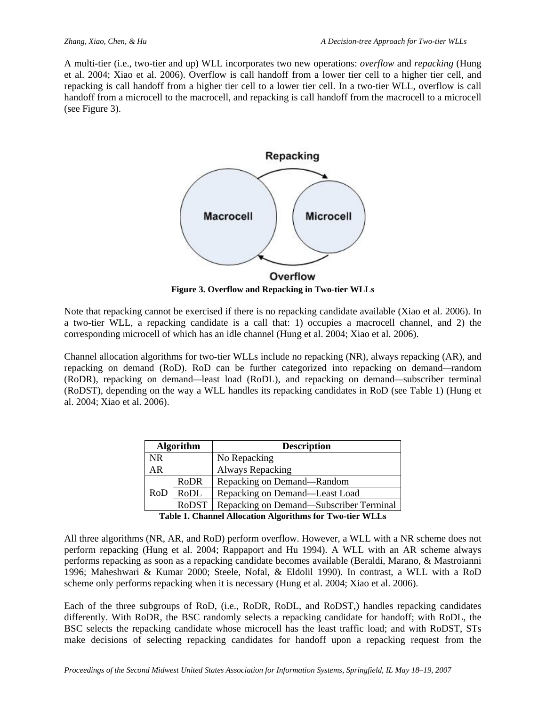A multi-tier (i.e., two-tier and up) WLL incorporates two new operations: *overflow* and *repacking* (Hung et al. 2004; Xiao et al. 2006). Overflow is call handoff from a lower tier cell to a higher tier cell, and repacking is call handoff from a higher tier cell to a lower tier cell. In a two-tier WLL, overflow is call handoff from a microcell to the macrocell, and repacking is call handoff from the macrocell to a microcell (see Figure 3).



**Figure 3. Overflow and Repacking in Two-tier WLLs** 

Note that repacking cannot be exercised if there is no repacking candidate available (Xiao et al. 2006). In a two-tier WLL, a repacking candidate is a call that: 1) occupies a macrocell channel, and 2) the corresponding microcell of which has an idle channel (Hung et al. 2004; Xiao et al. 2006).

Channel allocation algorithms for two-tier WLLs include no repacking (NR), always repacking (AR), and repacking on demand (RoD). RoD can be further categorized into repacking on demand*—*random (RoDR), repacking on demand*—*least load (RoDL), and repacking on demand*—*subscriber terminal (RoDST), depending on the way a WLL handles its repacking candidates in RoD (see Table 1) (Hung et al. 2004; Xiao et al. 2006).

| <b>Algorithm</b>                                           |       | <b>Description</b>                      |
|------------------------------------------------------------|-------|-----------------------------------------|
| <b>NR</b>                                                  |       | No Repacking                            |
| AR                                                         |       | Always Repacking                        |
| RoD                                                        | RoDR  | Repacking on Demand—Random              |
|                                                            | RoDL  | Repacking on Demand—Least Load          |
|                                                            | RoDST | Repacking on Demand—Subscriber Terminal |
| Toble 1. Channel Allegation Algorithma for True tion WI La |       |                                         |

**Table 1. Channel Allocation Algorithms for Two-tier WLLs**

All three algorithms (NR, AR, and RoD) perform overflow. However, a WLL with a NR scheme does not perform repacking (Hung et al. 2004; Rappaport and Hu 1994). A WLL with an AR scheme always performs repacking as soon as a repacking candidate becomes available (Beraldi, Marano, & Mastroianni 1996; Maheshwari & Kumar 2000; Steele, Nofal, & Eldolil 1990). In contrast, a WLL with a RoD scheme only performs repacking when it is necessary (Hung et al. 2004; Xiao et al. 2006).

Each of the three subgroups of RoD, (i.e., RoDR, RoDL, and RoDST,) handles repacking candidates differently. With RoDR, the BSC randomly selects a repacking candidate for handoff; with RoDL, the BSC selects the repacking candidate whose microcell has the least traffic load; and with RoDST, STs make decisions of selecting repacking candidates for handoff upon a repacking request from the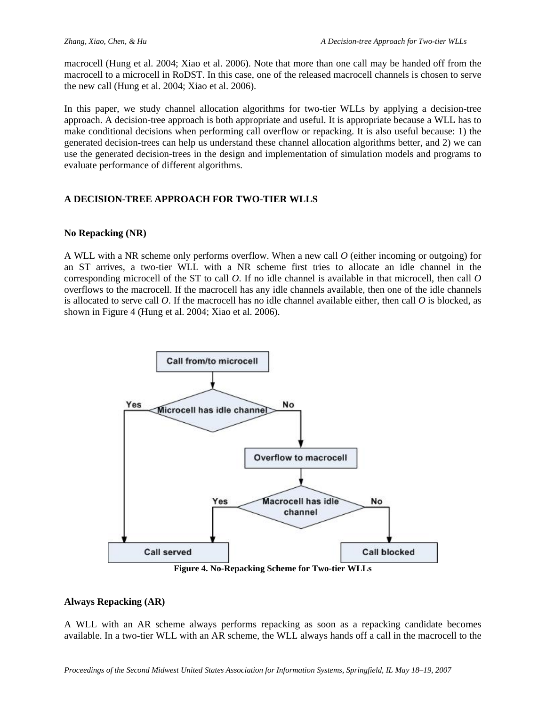macrocell (Hung et al. 2004; Xiao et al. 2006). Note that more than one call may be handed off from the macrocell to a microcell in RoDST. In this case, one of the released macrocell channels is chosen to serve the new call (Hung et al. 2004; Xiao et al. 2006).

In this paper, we study channel allocation algorithms for two-tier WLLs by applying a decision-tree approach. A decision-tree approach is both appropriate and useful. It is appropriate because a WLL has to make conditional decisions when performing call overflow or repacking. It is also useful because: 1) the generated decision-trees can help us understand these channel allocation algorithms better, and 2) we can use the generated decision-trees in the design and implementation of simulation models and programs to evaluate performance of different algorithms.

#### **A DECISION-TREE APPROACH FOR TWO-TIER WLLS**

#### **No Repacking (NR)**

A WLL with a NR scheme only performs overflow. When a new call *O* (either incoming or outgoing) for an ST arrives, a two-tier WLL with a NR scheme first tries to allocate an idle channel in the corresponding microcell of the ST to call *O*. If no idle channel is available in that microcell, then call *O* overflows to the macrocell. If the macrocell has any idle channels available, then one of the idle channels is allocated to serve call *O*. If the macrocell has no idle channel available either, then call *O* is blocked, as shown in Figure 4 (Hung et al. 2004; Xiao et al. 2006).



#### **Always Repacking (AR)**

A WLL with an AR scheme always performs repacking as soon as a repacking candidate becomes available. In a two-tier WLL with an AR scheme, the WLL always hands off a call in the macrocell to the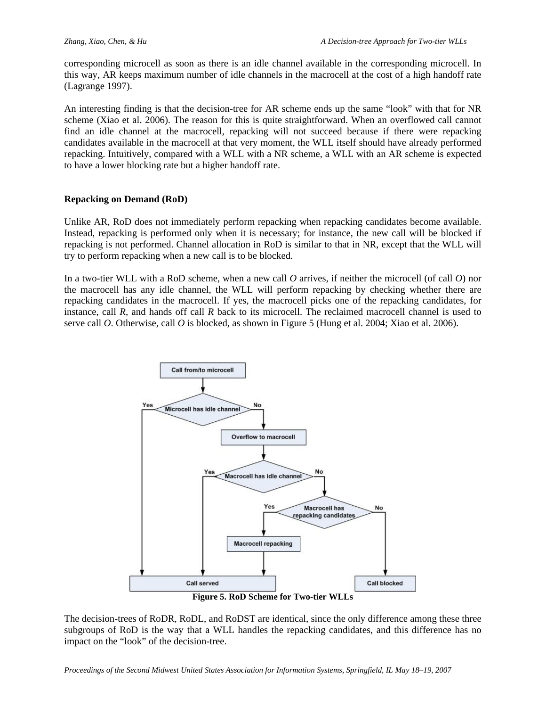corresponding microcell as soon as there is an idle channel available in the corresponding microcell. In this way, AR keeps maximum number of idle channels in the macrocell at the cost of a high handoff rate (Lagrange 1997).

An interesting finding is that the decision-tree for AR scheme ends up the same "look" with that for NR scheme (Xiao et al. 2006). The reason for this is quite straightforward. When an overflowed call cannot find an idle channel at the macrocell, repacking will not succeed because if there were repacking candidates available in the macrocell at that very moment, the WLL itself should have already performed repacking. Intuitively, compared with a WLL with a NR scheme, a WLL with an AR scheme is expected to have a lower blocking rate but a higher handoff rate.

#### **Repacking on Demand (RoD)**

Unlike AR, RoD does not immediately perform repacking when repacking candidates become available. Instead, repacking is performed only when it is necessary; for instance, the new call will be blocked if repacking is not performed. Channel allocation in RoD is similar to that in NR, except that the WLL will try to perform repacking when a new call is to be blocked.

In a two-tier WLL with a RoD scheme, when a new call *O* arrives, if neither the microcell (of call *O*) nor the macrocell has any idle channel, the WLL will perform repacking by checking whether there are repacking candidates in the macrocell. If yes, the macrocell picks one of the repacking candidates, for instance, call *R*, and hands off call *R* back to its microcell. The reclaimed macrocell channel is used to serve call *O*. Otherwise, call *O* is blocked, as shown in Figure 5 (Hung et al. 2004; Xiao et al. 2006).



The decision-trees of RoDR, RoDL, and RoDST are identical, since the only difference among these three subgroups of RoD is the way that a WLL handles the repacking candidates, and this difference has no impact on the "look" of the decision-tree.

*Proceedings of the Second Midwest United States Association for Information Systems, Springfield, IL May 18–19, 2007*